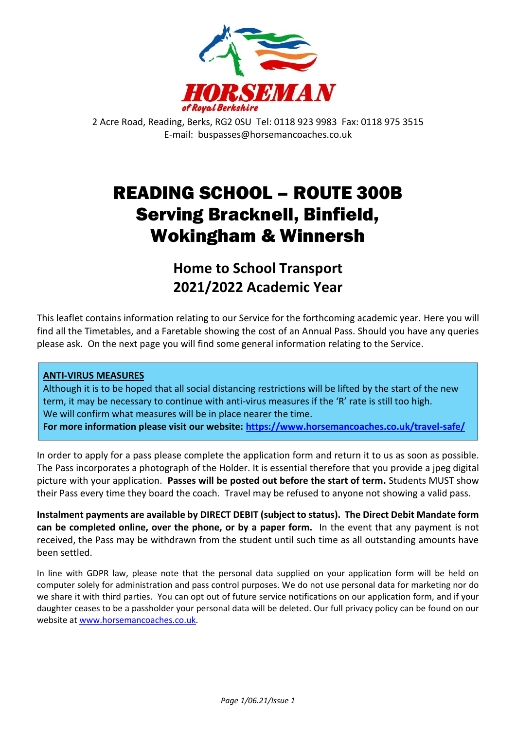

2 Acre Road, Reading, Berks, RG2 0SU Tel: 0118 923 9983 Fax: 0118 975 3515 E-mail: buspasses@horsemancoaches.co.uk

# READING SCHOOL – ROUTE 300B Serving Bracknell, Binfield, Wokingham & Winnersh

**Home to School Transport 2021/2022 Academic Year**

This leaflet contains information relating to our Service for the forthcoming academic year. Here you will find all the Timetables, and a Faretable showing the cost of an Annual Pass. Should you have any queries please ask. On the next page you will find some general information relating to the Service.

### **ANTI-VIRUS MEASURES**

Although it is to be hoped that all social distancing restrictions will be lifted by the start of the new term, it may be necessary to continue with anti-virus measures if the 'R' rate is still too high. We will confirm what measures will be in place nearer the time. **For more information please visit our website:<https://www.horsemancoaches.co.uk/travel-safe/>**

In order to apply for a pass please complete the application form and return it to us as soon as possible. The Pass incorporates a photograph of the Holder. It is essential therefore that you provide a jpeg digital picture with your application. **Passes will be posted out before the start of term.** Students MUST show their Pass every time they board the coach. Travel may be refused to anyone not showing a valid pass.

**Instalment payments are available by DIRECT DEBIT (subject to status). The Direct Debit Mandate form can be completed online, over the phone, or by a paper form.** In the event that any payment is not received, the Pass may be withdrawn from the student until such time as all outstanding amounts have been settled.

In line with GDPR law, please note that the personal data supplied on your application form will be held on computer solely for administration and pass control purposes. We do not use personal data for marketing nor do we share it with third parties. You can opt out of future service notifications on our application form, and if your daughter ceases to be a passholder your personal data will be deleted. Our full privacy policy can be found on our website a[t www.horsemancoaches.co.uk.](http://www.horsemancoaches.co.uk/)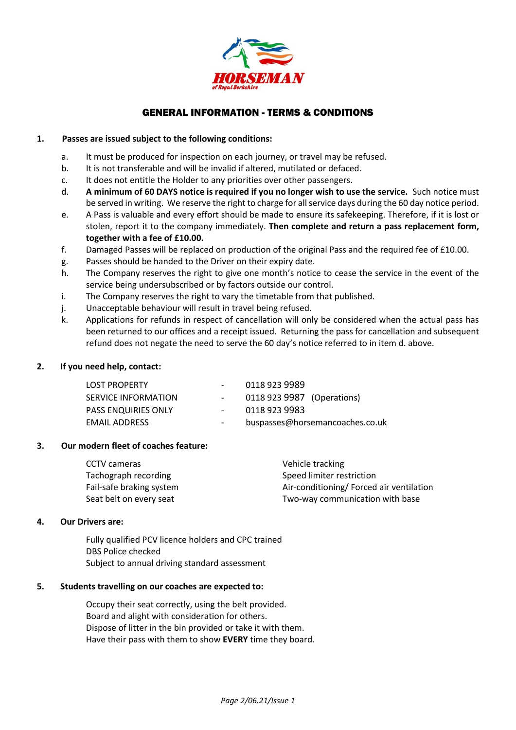

#### GENERAL INFORMATION - TERMS & CONDITIONS

#### **1. Passes are issued subject to the following conditions:**

- a. It must be produced for inspection on each journey, or travel may be refused.
- b. It is not transferable and will be invalid if altered, mutilated or defaced.
- c. It does not entitle the Holder to any priorities over other passengers.
- d. **A minimum of 60 DAYS notice is required if you no longer wish to use the service.** Such notice must be served in writing. We reserve the right to charge for all service days during the 60 day notice period.
- e. A Pass is valuable and every effort should be made to ensure its safekeeping. Therefore, if it is lost or stolen, report it to the company immediately. **Then complete and return a pass replacement form, together with a fee of £10.00.**
- f. Damaged Passes will be replaced on production of the original Pass and the required fee of £10.00.
- g. Passes should be handed to the Driver on their expiry date.
- h. The Company reserves the right to give one month's notice to cease the service in the event of the service being undersubscribed or by factors outside our control.
- i. The Company reserves the right to vary the timetable from that published.
- j. Unacceptable behaviour will result in travel being refused.
- k. Applications for refunds in respect of cancellation will only be considered when the actual pass has been returned to our offices and a receipt issued. Returning the pass for cancellation and subsequent refund does not negate the need to serve the 60 day's notice referred to in item d. above.

#### **2. If you need help, contact:**

| <b>LOST PROPERTY</b>       |        | 0118 923 9989                   |
|----------------------------|--------|---------------------------------|
| SERVICE INFORMATION        |        | 0118 923 9987 (Operations)      |
| <b>PASS ENQUIRIES ONLY</b> | $\sim$ | 0118 923 9983                   |
| <b>EMAIL ADDRESS</b>       | $\sim$ | buspasses@horsemancoaches.co.uk |

#### **3. Our modern fleet of coaches feature:**

| CCTV cameras             | Vehicle tracking                        |
|--------------------------|-----------------------------------------|
| Tachograph recording     | Speed limiter restriction               |
| Fail-safe braking system | Air-conditioning/Forced air ventilation |
| Seat belt on every seat  | Two-way communication with base         |

#### **4. Our Drivers are:**

Fully qualified PCV licence holders and CPC trained DBS Police checked Subject to annual driving standard assessment

#### **5. Students travelling on our coaches are expected to:**

Occupy their seat correctly, using the belt provided. Board and alight with consideration for others. Dispose of litter in the bin provided or take it with them. Have their pass with them to show **EVERY** time they board.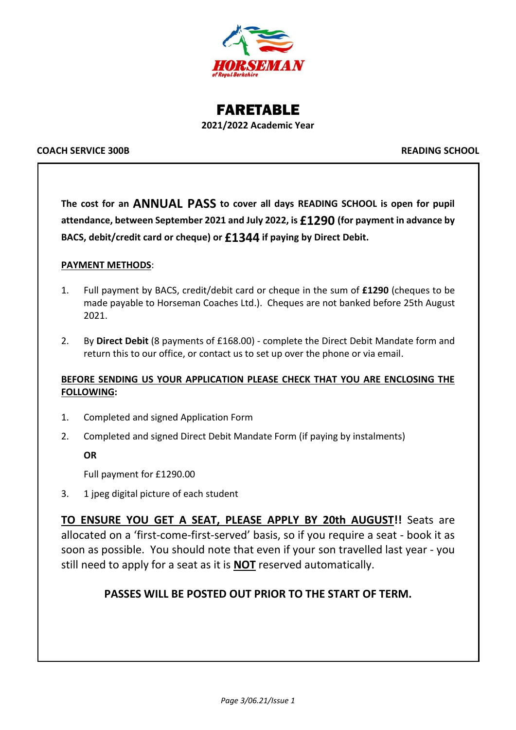

FARETABLE **2021/2022 Academic Year**

#### **COACH SERVICE 300B READING SCHOOL**

**The cost for an ANNUAL PASS to cover all days READING SCHOOL is open for pupil attendance, between September 2021 and July 2022, is £1290 (for payment in advance by BACS, debit/credit card or cheque) or £1344 if paying by Direct Debit.**

#### **PAYMENT METHODS**:

- 1. Full payment by BACS, credit/debit card or cheque in the sum of **£1290** (cheques to be made payable to Horseman Coaches Ltd.). Cheques are not banked before 25th August 2021.
- 2. By **Direct Debit** (8 payments of £168.00) complete the Direct Debit Mandate form and return this to our office, or contact us to set up over the phone or via email.

#### **BEFORE SENDING US YOUR APPLICATION PLEASE CHECK THAT YOU ARE ENCLOSING THE FOLLOWING:**

- 1. Completed and signed Application Form
- 2. Completed and signed Direct Debit Mandate Form (if paying by instalments)

**OR**

Full payment for £1290.00

3. 1 jpeg digital picture of each student

**TO ENSURE YOU GET A SEAT, PLEASE APPLY BY 20th AUGUST!!** Seats are allocated on a 'first-come-first-served' basis, so if you require a seat - book it as soon as possible. You should note that even if your son travelled last year - you still need to apply for a seat as it is **NOT** reserved automatically.

### **PASSES WILL BE POSTED OUT PRIOR TO THE START OF TERM.**